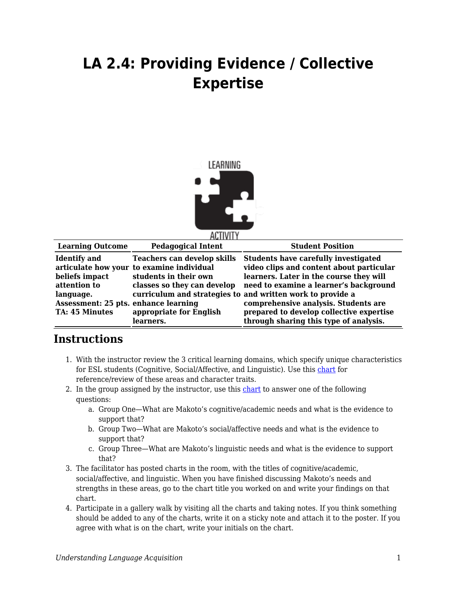## **LA 2.4: Providing Evidence / Collective Expertise**



| <b>Learning Outcome</b>                                                                                                             | <b>Pedagogical Intent</b>                                                                                                                                                       | <b>Student Position</b>                                                                                                                                                                                                                                                                                                                                                  |
|-------------------------------------------------------------------------------------------------------------------------------------|---------------------------------------------------------------------------------------------------------------------------------------------------------------------------------|--------------------------------------------------------------------------------------------------------------------------------------------------------------------------------------------------------------------------------------------------------------------------------------------------------------------------------------------------------------------------|
| <b>Identify</b> and<br>beliefs impact<br>attention to<br>language.<br>Assessment: 25 pts. enhance learning<br><b>TA: 45 Minutes</b> | <b>Teachers can develop skills</b><br>articulate how your to examine individual<br>students in their own<br>classes so they can develop<br>appropriate for English<br>learners. | <b>Students have carefully investigated</b><br>video clips and content about particular<br>learners. Later in the course they will<br>need to examine a learner's background<br>curriculum and strategies to and written work to provide a<br>comprehensive analysis. Students are<br>prepared to develop collective expertise<br>through sharing this type of analysis. |
|                                                                                                                                     |                                                                                                                                                                                 |                                                                                                                                                                                                                                                                                                                                                                          |

## **Instructions**

- 1. With the instructor review the 3 critical learning domains, which specify unique characteristics for ESL students (Cognitive, Social/Affective, and Linguistic). Use this [chart](https://byu.box.com/s/nrcsdr2v8fc5246xnqz63t4gjx11nu2z) for reference/review of these areas and character traits.
- 2. In the group assigned by the instructor, use this [chart](https://byu.box.com/s/v7dhc4tmwf2z8s7aig5syts8ymec73ul) to answer one of the following questions:
	- a. Group One—What are Makoto's cognitive/academic needs and what is the evidence to support that?
	- b. Group Two—What are Makoto's social/affective needs and what is the evidence to support that?
	- c. Group Three—What are Makoto's linguistic needs and what is the evidence to support that?
- 3. The facilitator has posted charts in the room, with the titles of cognitive/academic, social/affective, and linguistic. When you have finished discussing Makoto's needs and strengths in these areas, go to the chart title you worked on and write your findings on that chart.
- 4. Participate in a gallery walk by visiting all the charts and taking notes. If you think something should be added to any of the charts, write it on a sticky note and attach it to the poster. If you agree with what is on the chart, write your initials on the chart.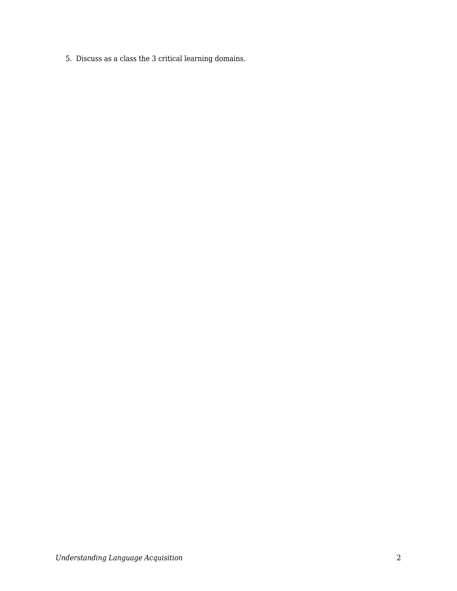5. Discuss as a class the 3 critical learning domains.